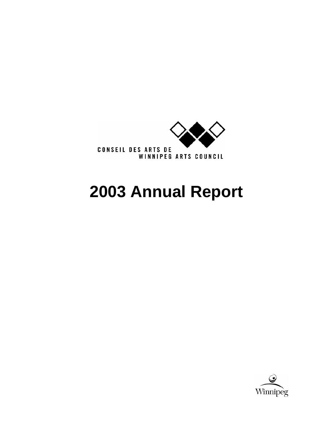

# **2003 Annual Report**

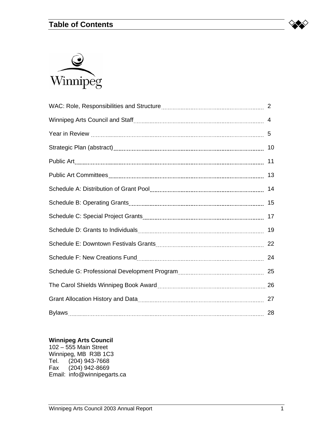# **Table of Contents**





|               | 11 |
|---------------|----|
|               |    |
|               | 14 |
|               |    |
|               |    |
|               | 19 |
|               |    |
|               | 24 |
|               |    |
|               |    |
|               |    |
| <b>Bylaws</b> | 28 |

#### **Winnipeg Arts Council**

102 – 555 Main Street Winnipeg, MB R3B 1C3 Tel. (204) 943-7668 Fax (204) 942-8669 Email: info@winnipegarts.ca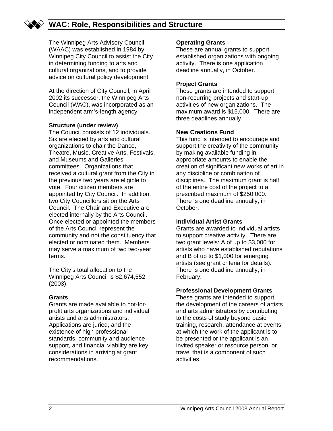# **WAC: Role, Responsibilities and Structure**

The Winnipeg Arts Advisory Council (WAAC) was established in 1984 by Winnipeg City Council to assist the City in determining funding to arts and cultural organizations, and to provide advice on cultural policy development.

At the direction of City Council, in April 2002 its successor, the Winnipeg Arts Council (WAC), was incorporated as an independent arm's-length agency.

#### **Structure (under review)**

The Council consists of 12 individuals. Six are elected by arts and cultural organizations to chair the Dance, Theatre, Music, Creative Arts, Festivals, and Museums and Galleries committees. Organizations that received a cultural grant from the City in the previous two years are eligible to vote. Four citizen members are appointed by City Council. In addition, two City Councillors sit on the Arts Council. The Chair and Executive are elected internally by the Arts Council. Once elected or appointed the members of the Arts Council represent the community and not the constituency that elected or nominated them. Members may serve a maximum of two two-year terms.

The City's total allocation to the Winnipeg Arts Council is \$2,674,552 (2003).

#### **Grants**

Grants are made available to not-forprofit arts organizations and individual artists and arts administrators. Applications are juried, and the existence of high professional standards, community and audience support, and financial viability are key considerations in arriving at grant recommendations.

#### **Operating Grants**

These are annual grants to support established organizations with ongoing activity. There is one application deadline annually, in October.

#### **Project Grants**

These grants are intended to support non-recurring projects and start-up activities of new organizations. The maximum award is \$15,000. There are three deadlines annually.

#### **New Creations Fund**

This fund is intended to encourage and support the creativity of the community by making available funding in appropriate amounts to enable the creation of significant new works of art in any discipline or combination of disciplines. The maximum grant is half of the entire cost of the project to a prescribed maximum of \$250,000. There is one deadline annually, in October.

#### **Individual Artist Grants**

Grants are awarded to individual artists to support creative activity. There are two grant levels: A of up to \$3,000 for artists who have established reputations and B of up to \$1,000 for emerging artists (see grant criteria for details). There is one deadline annually, in February.

#### **Professional Development Grants**

These grants are intended to support the development of the careers of artists and arts administrators by contributing to the costs of study beyond basic training, research, attendance at events at which the work of the applicant is to be presented or the applicant is an invited speaker or resource person, or travel that is a component of such activities.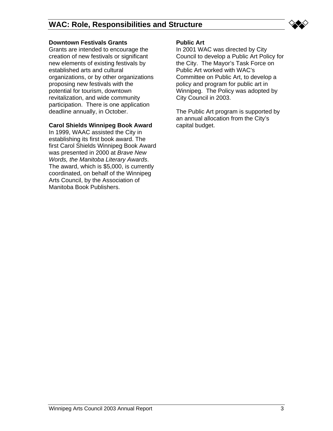

#### **Downtown Festivals Grants**

Grants are intended to encourage the creation of new festivals or significant new elements of existing festivals by established arts and cultural organizations, or by other organizations proposing new festivals with the potential for tourism, downtown revitalization, and wide community participation. There is one application deadline annually, in October.

#### **Carol Shields Winnipeg Book Award**

In 1999, WAAC assisted the City in establishing its first book award. The first Carol Shields Winnipeg Book Award was presented in 2000 at *Brave New Words, the Manitoba Literary Awards*. The award, which is \$5,000, is currently coordinated, on behalf of the Winnipeg Arts Council, by the Association of Manitoba Book Publishers.

#### **Public Art**

In 2001 WAC was directed by City Council to develop a Public Art Policy for the City. The Mayor's Task Force on Public Art worked with WAC's Committee on Public Art, to develop a policy and program for public art in Winnipeg. The Policy was adopted by City Council in 2003.

The Public Art program is supported by an annual allocation from the City's capital budget.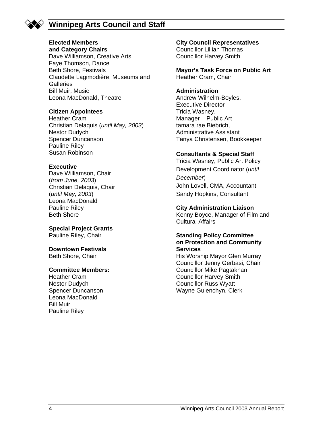

# **Winnipeg Arts Council and Staff**

# **Elected Members**

**and Category Chairs**  Dave Williamson, Creative Arts Faye Thomson, Dance Beth Shore, Festivals Claudette Lagimodière, Museums and **Galleries** Bill Muir, Music Leona MacDonald, Theatre

#### **Citizen Appointees**

Heather Cram Christian Delaquis (*until May, 2003*) Nestor Dudych Spencer Duncanson Pauline Riley Susan Robinson

#### **Executive**

Dave Williamson, Chair (*from June, 2003*) Christian Delaquis, Chair (*until May, 2003*) Leona MacDonald Pauline Riley Beth Shore

#### **Special Project Grants**

Pauline Riley, Chair

#### **Downtown Festivals**

Beth Shore, Chair

#### **Committee Members:**

Heather Cram Nestor Dudych Spencer Duncanson Leona MacDonald Bill Muir Pauline Riley

#### **City Council Representatives**

Councillor Lillian Thomas Councillor Harvey Smith

**Mayor's Task Force on Public Art** Heather Cram, Chair

#### **Administration**

Andrew Wilhelm-Boyles, Executive Director Tricia Wasney, Manager – Public Art tamara rae Biebrich, Administrative Assistant Tanya Christensen, Bookkeeper

#### **Consultants & Special Staff**

Tricia Wasney, Public Art Policy Development Coordinator (*until December*) John Lovell, CMA, Accountant Sandy Hopkins, Consultant

#### **City Administration Liaison**

Kenny Boyce, Manager of Film and Cultural Affairs

#### **Standing Policy Committee on Protection and Community Services**

His Worship Mayor Glen Murray Councillor Jenny Gerbasi, Chair Councillor Mike Pagtakhan Councillor Harvey Smith Councillor Russ Wyatt Wayne Gulenchyn, Clerk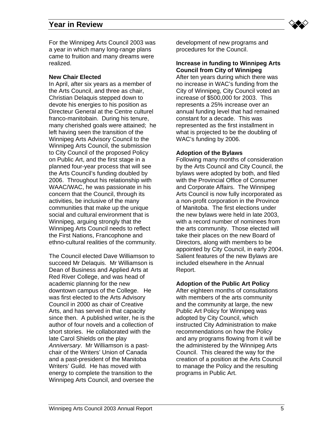

For the Winnipeg Arts Council 2003 was a year in which many long-range plans came to fruition and many dreams were realized.

#### **New Chair Elected**

In April, after six years as a member of the Arts Council, and three as chair, Christian Delaquis stepped down to devote his energies to his position as Directeur General at the Centre culturel franco-manitobain. During his tenure, many cherished goals were attained; he left having seen the transition of the Winnipeg Arts Advisory Council to the Winnipeg Arts Council, the submission to City Council of the proposed Policy on Public Art, and the first stage in a planned four-year process that will see the Arts Council's funding doubled by 2006. Throughout his relationship with WAAC/WAC, he was passionate in his concern that the Council, through its activities, be inclusive of the many communities that make up the unique social and cultural environment that is Winnipeg, arguing strongly that the Winnipeg Arts Council needs to reflect the First Nations, Francophone and ethno-cultural realities of the community.

The Council elected Dave Williamson to succeed Mr Delaquis. Mr Williamson is Dean of Business and Applied Arts at Red River College, and was head of academic planning for the new downtown campus of the College. He was first elected to the Arts Advisory Council in 2000 as chair of Creative Arts, and has served in that capacity since then. A published writer, he is the author of four novels and a collection of short stories. He collaborated with the late Carol Shields on the play *Anniversary*. Mr Williamson is a pastchair of the Writers' Union of Canada and a past-president of the Manitoba Writers' Guild. He has moved with energy to complete the transition to the Winnipeg Arts Council, and oversee the

development of new programs and procedures for the Council.

#### **Increase in funding to Winnipeg Arts Council from City of Winnipeg**

After ten years during which there was no increase in WAC's funding from the City of Winnipeg, City Council voted an increase of \$500,000 for 2003. This represents a 25% increase over an annual funding level that had remained constant for a decade. This was represented as the first installment in what is projected to be the doubling of WAC's funding by 2006.

#### **Adoption of the Bylaws**

Following many months of consideration by the Arts Council and City Council, the bylaws were adopted by both, and filed with the Provincial Office of Consumer and Corporate Affairs. The Winnipeg Arts Council is now fully incorporated as a non-profit corporation in the Province of Manitoba. The first elections under the new bylaws were held in late 2003, with a record number of nominees from the arts community. Those elected will take their places on the new Board of Directors, along with members to be appointed by City Council, in early 2004. Salient features of the new Bylaws are included elsewhere in the Annual Report.

#### **Adoption of the Public Art Policy**

After eighteen months of consultations with members of the arts community and the community at large, the new Public Art Policy for Winnipeg was adopted by City Council, which instructed City Administration to make recommendations on how the Policy and any programs flowing from it will be the administered by the Winnipeg Arts Council. This cleared the way for the creation of a position at the Arts Council to manage the Policy and the resulting programs in Public Art.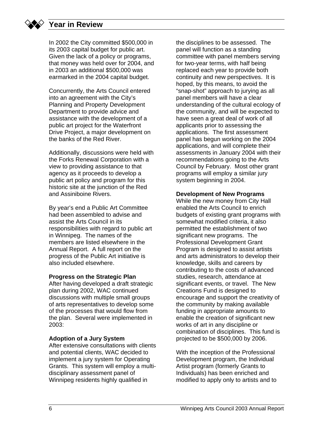In 2002 the City committed \$500,000 in its 2003 capital budget for public art. Given the lack of a policy or programs, that money was held over for 2004, and in 2003 an additional \$500,000 was earmarked in the 2004 capital budget.

Concurrently, the Arts Council entered into an agreement with the City's Planning and Property Development Department to provide advice and assistance with the development of a public art project for the Waterfront Drive Project, a major development on the banks of the Red River.

Additionally, discussions were held with the Forks Renewal Corporation with a view to providing assistance to that agency as it proceeds to develop a public art policy and program for this historic site at the junction of the Red and Assiniboine Rivers.

By year's end a Public Art Committee had been assembled to advise and assist the Arts Council in its responsibilities with regard to public art in Winnipeg. The names of the members are listed elsewhere in the Annual Report. A full report on the progress of the Public Art initiative is also included elsewhere.

#### **Progress on the Strategic Plan**

After having developed a draft strategic plan during 2002, WAC continued discussions with multiple small groups of arts representatives to develop some of the processes that would flow from the plan. Several were implemented in 2003:

#### **Adoption of a Jury System**

After extensive consultations with clients and potential clients, WAC decided to implement a jury system for Operating Grants. This system will employ a multidisciplinary assessment panel of Winnipeg residents highly qualified in

the disciplines to be assessed. The panel will function as a standing committee with panel members serving for two-year terms, with half being replaced each year to provide both continuity and new perspectives. It is hoped, by this means, to avoid the "snap-shot" approach to jurying as all panel members will have a clear understanding of the cultural ecology of the community, and will be expected to have seen a great deal of work of all applicants prior to assessing the applications. The first assessment panel has begun working on the 2004 applications, and will complete their assessments in January 2004 with their recommendations going to the Arts Council by February. Most other grant programs will employ a similar jury system beginning in 2004.

#### **Development of New Programs**

While the new money from City Hall enabled the Arts Council to enrich budgets of existing grant programs with somewhat modified criteria, it also permitted the establishment of two significant new programs. The Professional Development Grant Program is designed to assist artists and arts administrators to develop their knowledge, skills and careers by contributing to the costs of advanced studies, research, attendance at significant events, or travel. The New Creations Fund is designed to encourage and support the creativity of the community by making available funding in appropriate amounts to enable the creation of significant new works of art in any discipline or combination of disciplines. This fund is projected to be \$500,000 by 2006.

With the inception of the Professional Development program, the Individual Artist program (formerly Grants to Individuals) has been enriched and modified to apply only to artists and to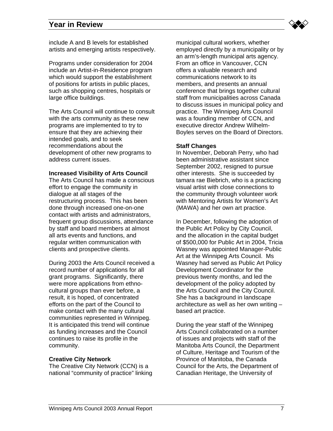

include A and B levels for established artists and emerging artists respectively.

Programs under consideration for 2004 include an Artist-in-Residence program which would support the establishment of positions for artists in public places, such as shopping centres, hospitals or large office buildings.

The Arts Council will continue to consult with the arts community as these new programs are implemented to try to ensure that they are achieving their intended goals, and to seek recommendations about the development of other new programs to address current issues.

#### **Increased Visibility of Arts Council**

The Arts Council has made a conscious effort to engage the community in dialogue at all stages of the restructuring process. This has been done through increased one-on-one contact with artists and administrators, frequent group discussions, attendance by staff and board members at almost all arts events and functions, and regular written communication with clients and prospective clients.

During 2003 the Arts Council received a record number of applications for all grant programs. Significantly, there were more applications from ethnocultural groups than ever before, a result, it is hoped, of concentrated efforts on the part of the Council to make contact with the many cultural communities represented in Winnipeg. It is anticipated this trend will continue as funding increases and the Council continues to raise its profile in the community.

#### **Creative City Network**

The Creative City Network (CCN) is a national "community of practice" linking municipal cultural workers, whether employed directly by a municipality or by an arm's-length municipal arts agency. From an office in Vancouver, CCN offers a valuable research and communications network to its members, and presents an annual conference that brings together cultural staff from municipalities across Canada to discuss issues in municipal policy and practice. The Winnipeg Arts Council was a founding member of CCN, and executive director Andrew Wilhelm-Boyles serves on the Board of Directors.

#### **Staff Changes**

In November, Deborah Perry, who had been administrative assistant since September 2002, resigned to pursue other interests. She is succeeded by tamara rae Biebrich, who is a practicing visual artist with close connections to the community through volunteer work with Mentoring Artists for Women's Art (MAWA) and her own art practice.

In December, following the adoption of the Public Art Policy by City Council, and the allocation in the capital budget of \$500,000 for Public Art in 2004, Tricia Wasney was appointed Manager-Public Art at the Winnipeg Arts Council. Ms Wasney had served as Public Art Policy Development Coordinator for the previous twenty months, and led the development of the policy adopted by the Arts Council and the City Council. She has a background in landscape architecture as well as her own writing – based art practice.

During the year staff of the Winnipeg Arts Council collaborated on a number of issues and projects with staff of the Manitoba Arts Council, the Department of Culture, Heritage and Tourism of the Province of Manitoba, the Canada Council for the Arts, the Department of Canadian Heritage, the University of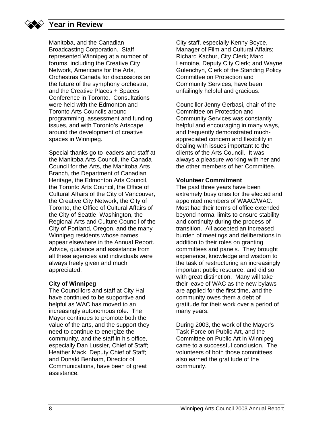Manitoba, and the Canadian Broadcasting Corporation. Staff represented Winnipeg at a number of forums, including the Creative City Network, Americans for the Arts, Orchestras Canada for discussions on the future of the symphony orchestra, and the Creative Places + Spaces Conference in Toronto. Consultations were held with the Edmonton and Toronto Arts Councils around programming, assessment and funding issues, and with Toronto's Artscape around the development of creative spaces in Winnipeg.

Special thanks go to leaders and staff at the Manitoba Arts Council, the Canada Council for the Arts, the Manitoba Arts Branch, the Department of Canadian Heritage, the Edmonton Arts Council, the Toronto Arts Council, the Office of Cultural Affairs of the City of Vancouver, the Creative City Network, the City of Toronto, the Office of Cultural Affairs of the City of Seattle, Washington, the Regional Arts and Culture Council of the City of Portland, Oregon, and the many Winnipeg residents whose names appear elsewhere in the Annual Report. Advice, guidance and assistance from all these agencies and individuals were always freely given and much appreciated.

#### **City of Winnipeg**

The Councillors and staff at City Hall have continued to be supportive and helpful as WAC has moved to an increasingly autonomous role. The Mayor continues to promote both the value of the arts, and the support they need to continue to energize the community, and the staff in his office, especially Dan Lussier, Chief of Staff; Heather Mack, Deputy Chief of Staff; and Donald Benham, Director of Communications, have been of great assistance.

City staff, especially Kenny Boyce, Manager of Film and Cultural Affairs; Richard Kachur, City Clerk; Marc Lemoine, Deputy City Clerk; and Wayne Gulenchyn, Clerk of the Standing Policy Committee on Protection and Community Services, have been unfailingly helpful and gracious.

Councillor Jenny Gerbasi, chair of the Committee on Protection and Community Services was constantly helpful and encouraging in many ways, and frequently demonstrated muchappreciated concern and flexibility in dealing with issues important to the clients of the Arts Council. It was always a pleasure working with her and the other members of her Committee.

#### **Volunteer Commitment**

The past three years have been extremely busy ones for the elected and appointed members of WAAC/WAC. Most had their terms of office extended beyond normal limits to ensure stability and continuity during the process of transition. All accepted an increased burden of meetings and deliberations in addition to their roles on granting committees and panels. They brought experience, knowledge and wisdom to the task of restructuring an increasingly important public resource, and did so with great distinction. Many will take their leave of WAC as the new bylaws are applied for the first time, and the community owes them a debt of gratitude for their work over a period of many years.

During 2003, the work of the Mayor's Task Force on Public Art, and the Committee on Public Art in Winnipeg came to a successful conclusion. The volunteers of both those committees also earned the gratitude of the community.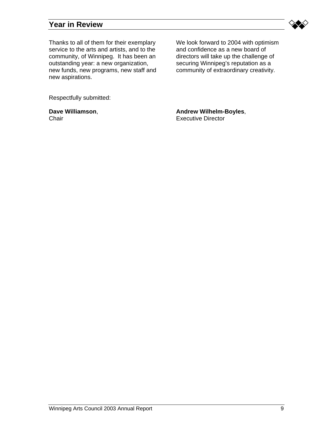

Thanks to all of them for their exemplary service to the arts and artists, and to the community, of Winnipeg. It has been an outstanding year: a new organization, new funds, new programs, new staff and new aspirations.

We look forward to 2004 with optimism and confidence as a new board of directors will take up the challenge of securing Winnipeg's reputation as a community of extraordinary creativity.

Respectfully submitted:

**Dave Williamson**, **Chair** 

**Andrew Wilhelm-Boyles**, Executive Director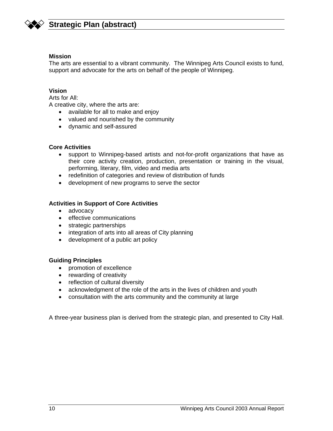

# **Strategic Plan (abstract)**

#### **Mission**

The arts are essential to a vibrant community. The Winnipeg Arts Council exists to fund, support and advocate for the arts on behalf of the people of Winnipeg.

#### **Vision**

Arts for All:

A creative city, where the arts are:

- available for all to make and enjoy
- valued and nourished by the community
- dynamic and self-assured

#### **Core Activities**

- support to Winnipeg-based artists and not-for-profit organizations that have as their core activity creation, production, presentation or training in the visual, performing, literary, film, video and media arts
- redefinition of categories and review of distribution of funds
- development of new programs to serve the sector

#### **Activities in Support of Core Activities**

- advocacy
- effective communications
- strategic partnerships
- integration of arts into all areas of City planning
- development of a public art policy

#### **Guiding Principles**

- promotion of excellence
- rewarding of creativity
- reflection of cultural diversity
- acknowledgment of the role of the arts in the lives of children and youth
- consultation with the arts community and the community at large

A three-year business plan is derived from the strategic plan, and presented to City Hall.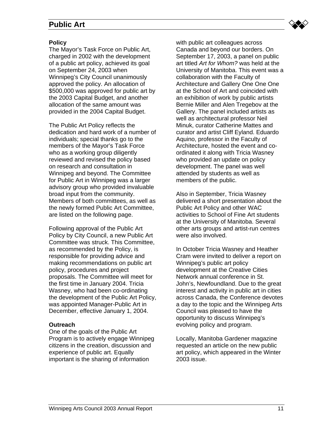# **Public Art**



#### **Policy**

The Mayor's Task Force on Public Art, charged in 2002 with the development of a public art policy, achieved its goal on September 24, 2003 when Winnipeg's City Council unanimously approved the policy. An allocation of \$500,000 was approved for public art by the 2003 Capital Budget, and another allocation of the same amount was provided in the 2004 Capital Budget.

The Public Art Policy reflects the dedication and hard work of a number of individuals; special thanks go to the members of the Mayor's Task Force who as a working group diligently reviewed and revised the policy based on research and consultation in Winnipeg and beyond. The Committee for Public Art in Winnipeg was a larger advisory group who provided invaluable broad input from the community. Members of both committees, as well as the newly formed Public Art Committee, are listed on the following page.

Following approval of the Public Art Policy by City Council, a new Public Art Committee was struck. This Committee, as recommended by the Policy, is responsible for providing advice and making recommendations on public art policy, procedures and project proposals. The Committee will meet for the first time in January 2004. Tricia Wasney, who had been co-ordinating the development of the Public Art Policy, was appointed Manager-Public Art in December, effective January 1, 2004.

#### **Outreach**

One of the goals of the Public Art Program is to actively engage Winnipeg citizens in the creation, discussion and experience of public art. Equally important is the sharing of information

with public art colleagues across Canada and beyond our borders. On September 17, 2003, a panel on public art titled *Art for Whom?* was held at the University of Manitoba. This event was a collaboration with the Faculty of Architecture and Gallery One One One at the School of Art and coincided with an exhibition of work by public artists Bernie Miller and Alen Tregebov at the Gallery. The panel included artists as well as architectural professor Neil Minuk, curator Catherine Mattes and curator and artist Cliff Eyland. Eduardo Aquino, professor in the Faculty of Architecture, hosted the event and coordinated it along with Tricia Wasney who provided an update on policy development. The panel was well attended by students as well as members of the public.

Also in September, Tricia Wasney delivered a short presentation about the Public Art Policy and other WAC activities to School of Fine Art students at the University of Manitoba. Several other arts groups and artist-run centres were also involved.

In October Tricia Wasney and Heather Cram were invited to deliver a report on Winnipeg's public art policy development at the Creative Cities Network annual conference in St. John's, Newfoundland. Due to the great interest and activity in public art in cities across Canada, the Conference devotes a day to the topic and the Winnipeg Arts Council was pleased to have the opportunity to discuss Winnipeg's evolving policy and program.

Locally, Manitoba Gardener magazine requested an article on the new public art policy, which appeared in the Winter 2003 issue.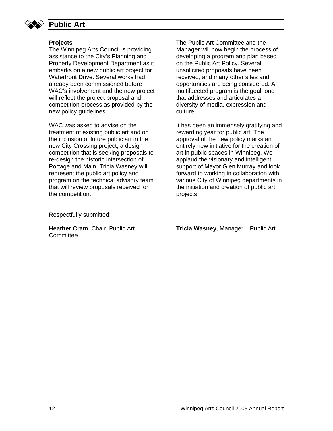

# **Public Art**

#### **Projects**

The Winnipeg Arts Council is providing assistance to the City's Planning and Property Development Department as it embarks on a new public art project for Waterfront Drive. Several works had already been commissioned before WAC's involvement and the new project will reflect the project proposal and competition process as provided by the new policy guidelines.

WAC was asked to advise on the treatment of existing public art and on the inclusion of future public art in the new City Crossing project, a design competition that is seeking proposals to re-design the historic intersection of Portage and Main. Tricia Wasney will represent the public art policy and program on the technical advisory team that will review proposals received for the competition.

The Public Art Committee and the Manager will now begin the process of developing a program and plan based on the Public Art Policy. Several unsolicited proposals have been received, and many other sites and opportunities are being considered. A multifaceted program is the goal, one that addresses and articulates a diversity of media, expression and culture.

It has been an immensely gratifying and rewarding year for public art. The approval of the new policy marks an entirely new initiative for the creation of art in public spaces in Winnipeg. We applaud the visionary and intelligent support of Mayor Glen Murray and look forward to working in collaboration with various City of Winnipeg departments in the initiation and creation of public art projects.

Respectfully submitted:

**Heather Cram**, Chair, Public Art **Committee** 

**Tricia Wasney**, Manager – Public Art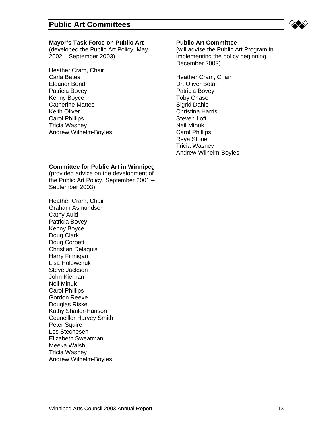

#### **Mayor's Task Force on Public Art**

(developed the Public Art Policy, May 2002 – September 2003)

Heather Cram, Chair Carla Bates Eleanor Bond Patricia Bovey Kenny Boyce Catherine Mattes Keith Oliver Carol Phillips Tricia Wasney Andrew Wilhelm-Boyles

#### **Public Art Committee**

(will advise the Public Art Program in implementing the policy beginning December 2003)

Heather Cram, Chair Dr. Oliver Botar Patricia Bovey Toby Chase Sigrid Dahle Christina Harris Steven Loft Neil Minuk Carol Phillips Reva Stone Tricia Wasney Andrew Wilhelm-Boyles

#### **Committee for Public Art in Winnipeg**

(provided advice on the development of the Public Art Policy, September 2001 – September 2003)

Heather Cram, Chair Graham Asmundson Cathy Auld Patricia Bovey Kenny Boyce Doug Clark Doug Corbett Christian Delaquis Harry Finnigan Lisa Holowchuk Steve Jackson John Kiernan Neil Minuk Carol Phillips Gordon Reeve Douglas Riske Kathy Shailer-Hanson Councillor Harvey Smith Peter Squire Les Stechesen Elizabeth Sweatman Meeka Walsh Tricia Wasney Andrew Wilhelm-Boyles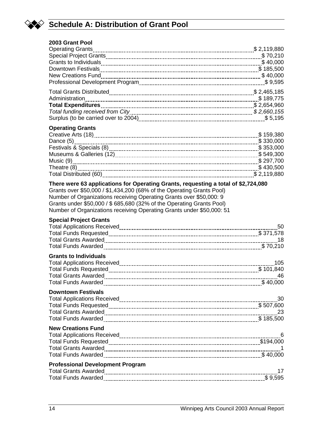

# **Schedule A: Distribution of Grant Pool**

| 2003 Grant Pool                                                                                                                                                                                                                      |     |
|--------------------------------------------------------------------------------------------------------------------------------------------------------------------------------------------------------------------------------------|-----|
| <b>Operating Grants</b>                                                                                                                                                                                                              |     |
|                                                                                                                                                                                                                                      |     |
|                                                                                                                                                                                                                                      |     |
|                                                                                                                                                                                                                                      |     |
|                                                                                                                                                                                                                                      |     |
|                                                                                                                                                                                                                                      |     |
|                                                                                                                                                                                                                                      |     |
|                                                                                                                                                                                                                                      |     |
|                                                                                                                                                                                                                                      |     |
|                                                                                                                                                                                                                                      |     |
|                                                                                                                                                                                                                                      |     |
| <b>Operating Grants</b>                                                                                                                                                                                                              |     |
| Creative Arts (18) 200 \$159,380                                                                                                                                                                                                     |     |
|                                                                                                                                                                                                                                      |     |
|                                                                                                                                                                                                                                      |     |
|                                                                                                                                                                                                                                      |     |
|                                                                                                                                                                                                                                      |     |
| Theatre (8) 2430,500                                                                                                                                                                                                                 |     |
| Total Distributed (60) [119,880] Total Distributed (60) [119,880]                                                                                                                                                                    |     |
| Number of Organizations receiving Operating Grants over \$50,000: 9<br>Grants under \$50,000 / \$ 685,680 (32% of the Operating Grants Pool)<br>Number of Organizations receiving Operating Grants under \$50,000: 51                |     |
| <b>Special Project Grants</b>                                                                                                                                                                                                        |     |
|                                                                                                                                                                                                                                      | 50  |
|                                                                                                                                                                                                                                      |     |
|                                                                                                                                                                                                                                      |     |
|                                                                                                                                                                                                                                      |     |
| <b>Grants to Individuals</b>                                                                                                                                                                                                         |     |
|                                                                                                                                                                                                                                      | 105 |
| Total Funds Requested <b>[100]</b> Total Funds Requested <b>[201]</b> Manument Communication Contract Control Control of 101,840                                                                                                     |     |
|                                                                                                                                                                                                                                      |     |
| <b>Total Funds Awarded</b>                                                                                                                                                                                                           |     |
| <b>Downtown Festivals</b>                                                                                                                                                                                                            |     |
|                                                                                                                                                                                                                                      |     |
| Total Funds Requested <b>Marshall Strategie and Strategie and Strategie and Strategie and Strategie and Strategie and Strategie and Strategie and Strategie and Strategie and Strategie and Strategie and Strategie and Strategi</b> |     |
|                                                                                                                                                                                                                                      |     |
|                                                                                                                                                                                                                                      |     |
| <b>New Creations Fund</b>                                                                                                                                                                                                            |     |
|                                                                                                                                                                                                                                      |     |
|                                                                                                                                                                                                                                      |     |
|                                                                                                                                                                                                                                      |     |
|                                                                                                                                                                                                                                      |     |
| <b>Professional Development Program</b>                                                                                                                                                                                              |     |
|                                                                                                                                                                                                                                      |     |
|                                                                                                                                                                                                                                      | -17 |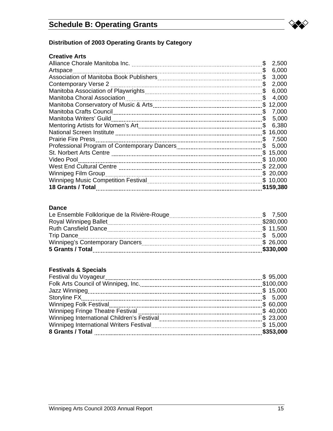

# **Distribution of 2003 Operating Grants by Category**

#### **Creative Arts**

|                                    | \$  | 2,500     |
|------------------------------------|-----|-----------|
| Artspace                           | \$  | 6,000     |
|                                    | \$  | 3,000     |
| Contemporary Verse 2               | \$  | 2,000     |
|                                    | \$  | 6,000     |
| <b>Manitoba Choral Association</b> | \$  | 4,000     |
|                                    | \$. | 12,000    |
|                                    | \$  | 7,000     |
|                                    | \$  | 5,000     |
|                                    | \$  | 6,380     |
|                                    | \$. | 16,000    |
| <b>Prairie Fire Press</b>          | S.  | 7,500     |
|                                    | S.  | 5,000     |
|                                    |     | \$15,000  |
| Video Pool                         |     | \$10,000  |
|                                    |     | \$22,000  |
| Winnipeg Film Group                |     | \$20,000  |
|                                    |     | \$10,000  |
| 18 Grants / Total                  |     | \$159,380 |

#### **Dance**

| <b>Ruth Cansfield Dance</b> |           |
|-----------------------------|-----------|
|                             |           |
|                             |           |
| 5 Grants / Total            | \$330,000 |

#### **Festivals & Specials**

| $\frac{1}{2}$ 95,000<br>Festival du Voyageur |           |
|----------------------------------------------|-----------|
|                                              |           |
|                                              |           |
|                                              |           |
|                                              | \$60,000  |
|                                              | \$40,000  |
|                                              | \$23,000  |
|                                              |           |
|                                              | \$353,000 |
|                                              |           |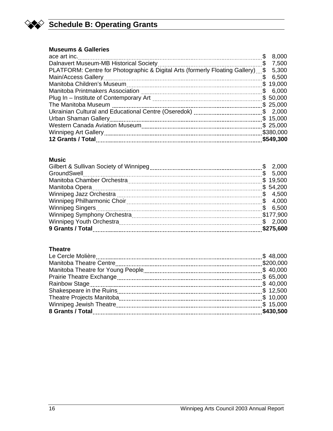

# **Schedule B: Operating Grants**

#### **Museums & Galleries**

|                                                                                       | 8,000<br>S  |  |
|---------------------------------------------------------------------------------------|-------------|--|
| S.                                                                                    | 7,500       |  |
| PLATFORM: Centre for Photographic & Digital Arts (formerly Floating Gallery) \$ 5,300 |             |  |
|                                                                                       | 6,500<br>\$ |  |
| Manitoba Children's Museum                                                            | \$19,000    |  |
|                                                                                       | \$6,000     |  |
|                                                                                       | \$50,000    |  |
| The Manitoba Museum                                                                   | \$25,000    |  |
|                                                                                       | \$2,000     |  |
| Urban Shaman Gallery                                                                  | \$15,000    |  |
|                                                                                       | \$25,000    |  |
|                                                                                       | \$380,000   |  |
| 12 Grants / Total                                                                     | \$549,300   |  |

#### **Music**

| GroundSwell |           |
|-------------|-----------|
|             | \$19,500  |
|             | \$54,200  |
|             |           |
|             |           |
|             |           |
|             | \$177,900 |
|             | \$2,000   |
|             | \$275,600 |

#### **Theatre**

| \$65,000         |           |
|------------------|-----------|
|                  |           |
|                  |           |
|                  |           |
|                  |           |
| 8 Grants / Total | \$430,500 |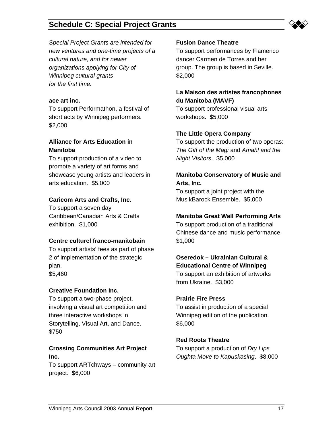

*Special Project Grants are intended for new ventures and one-time projects of a cultural nature, and for newer organizations applying for City of Winnipeg cultural grants for the first time.*

#### **ace art inc.**

To support Performathon, a festival of short acts by Winnipeg performers. \$2,000

#### **Alliance for Arts Education in Manitoba**

To support production of a video to promote a variety of art forms and showcase young artists and leaders in arts education. \$5,000

#### **Caricom Arts and Crafts, Inc.**

To support a seven day Caribbean/Canadian Arts & Crafts exhibition. \$1,000

#### **Centre culturel franco-manitobain**

To support artists' fees as part of phase 2 of implementation of the strategic plan. \$5,460

#### **Creative Foundation Inc.**

To support a two-phase project, involving a visual art competition and three interactive workshops in Storytelling, Visual Art, and Dance. \$750

#### **Crossing Communities Art Project Inc.**

To support ARTchways – community art project. \$6,000

#### **Fusion Dance Theatre**

To support performances by Flamenco dancer Carmen de Torres and her group. The group is based in Seville. \$2,000

#### **La Maison des artistes francophones du Manitoba (MAVF)**

To support professional visual arts workshops. \$5,000

#### **The Little Opera Company**

To support the production of two operas: *The Gift of the Magi* and *Amahl and the Night Visitors*. \$5,000

#### **Manitoba Conservatory of Music and Arts, Inc.**

To support a joint project with the MusikBarock Ensemble. \$5,000

#### **Manitoba Great Wall Performing Arts**

To support production of a traditional Chinese dance and music performance. \$1,000

# **Oseredok – Ukrainian Cultural & Educational Centre of Winnipeg**

To support an exhibition of artworks from Ukraine. \$3,000

#### **Prairie Fire Press**

To assist in production of a special Winnipeg edition of the publication. \$6,000

#### **Red Roots Theatre**

To support a production of *Dry Lips Oughta Move to Kapuskasing*. \$8,000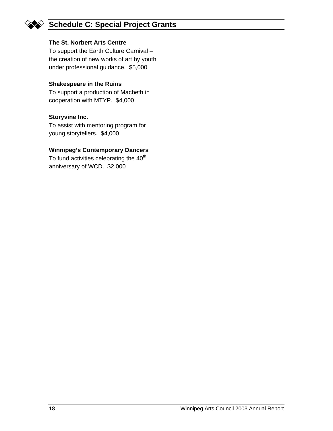#### **The St. Norbert Arts Centre**

To support the Earth Culture Carnival – the creation of new works of art by youth under professional guidance. \$5,000

#### **Shakespeare in the Ruins**

To support a production of Macbeth in cooperation with MTYP. \$4,000

#### **Storyvine Inc.**

To assist with mentoring program for young storytellers. \$4,000

#### **Winnipeg's Contemporary Dancers**

To fund activities celebrating the 40<sup>th</sup> anniversary of WCD. \$2,000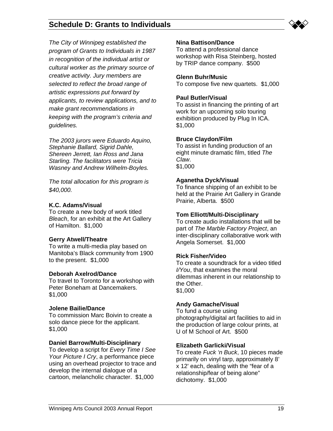*The City of Winnipeg established the program of Grants to Individuals in 1987 in recognition of the individual artist or cultural worker as the primary source of creative activity. Jury members are selected to reflect the broad range of artistic expressions put forward by applicants, to review applications, and to make grant recommendations in keeping with the program's criteria and guidelines.* 

**Schedule D: Grants to Individuals** 

*The 2003 jurors were Eduardo Aquino, Stephanie Ballard, Sigrid Dahle, Shereen Jerrett, Ian Ross and Jana Starling. The facilitators were Tricia Wasney and Andrew Wilhelm-Boyles.* 

*The total allocation for this program is \$40,000.* 

#### **K.C. Adams/Visual**

To create a new body of work titled *Bleach*, for an exhibit at the Art Gallery of Hamilton. \$1,000

#### **Gerry Atwell/Theatre**

To write a multi-media play based on Manitoba's Black community from 1900 to the present. \$1,000

#### **Deborah Axelrod/Dance**

To travel to Toronto for a workshop with Peter Boneham at Dancemakers. \$1,000

#### **Jolene Bailie/Dance**

To commission Marc Boivin to create a solo dance piece for the applicant. \$1,000

#### **Daniel Barrow/Multi-Disciplinary**

To develop a script for *Every Time I See Your Picture I Cry*, a performance piece using an overhead projector to trace and develop the internal dialogue of a cartoon, melancholic character. \$1,000

#### **Nina Battison/Dance**

To attend a professional dance workshop with Risa Steinberg, hosted by TRIP dance company. \$500

#### **Glenn Buhr/Music**

To compose five new quartets. \$1,000

#### **Paul Butler/Visual**

To assist in financing the printing of art work for an upcoming solo touring exhibition produced by Plug In ICA. \$1,000

#### **Bruce Claydon/Film**

To assist in funding production of an eight minute dramatic film, titled *The Claw*. \$1,000

#### **Aganetha Dyck/Visual**

To finance shipping of an exhibit to be held at the Prairie Art Gallery in Grande Prairie, Alberta. \$500

#### **Tom Elliott/Multi-Disciplinary**

To create audio installations that will be part of *The Marble Factory Project*, an inter-disciplinary collaborative work with Angela Somerset. \$1,000

#### **Rick Fisher/Video**

To create a soundtrack for a video titled *I/You*, that examines the moral dilemmas inherent in our relationship to the Other. \$1,000

#### **Andy Gamache/Visual**

To fund a course using photography/digital art facilities to aid in the production of large colour prints, at U of M School of Art. \$500

#### **Elizabeth Garlicki/Visual**

To create *Fuck 'n Buck*, 10 pieces made primarily on vinyl tarp, approximately 8' x 12' each, dealing with the "fear of a relationship/fear of being alone" dichotomy. \$1,000

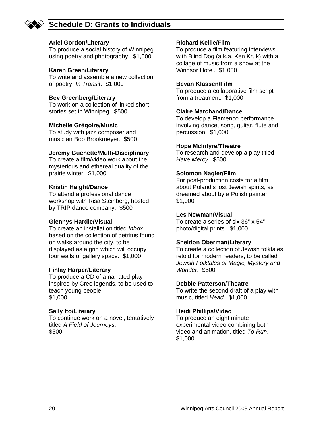

# **Schedule D: Grants to Individuals**

#### **Ariel Gordon/Literary**

To produce a social history of Winnipeg using poetry and photography. \$1,000

#### **Karen Green/Literary**

To write and assemble a new collection of poetry, *In Transit*. \$1,000

#### **Bev Greenberg/Literary**

To work on a collection of linked short stories set in Winnipeg. \$500

#### **Michelle Grégoire/Music**

To study with jazz composer and musician Bob Brookmeyer. \$500

#### **Jeremy Guenette/Multi-Disciplinary**

To create a film/video work about the mysterious and ethereal quality of the prairie winter. \$1,000

#### **Kristin Haight/Dance**

To attend a professional dance workshop with Risa Steinberg, hosted by TRIP dance company. \$500

#### **Glennys Hardie/Visual**

To create an installation titled *Inbox*, based on the collection of detritus found on walks around the city, to be displayed as a grid which will occupy four walls of gallery space. \$1,000

#### **Finlay Harper/Literary**

To produce a CD of a narrated play inspired by Cree legends, to be used to teach young people. \$1,000

#### **Sally Ito/Literary**

To continue work on a novel, tentatively titled *A Field of Journeys*. \$500

#### **Richard Kellie/Film**

To produce a film featuring interviews with Blind Dog (a.k.a. Ken Kruk) with a collage of music from a show at the Windsor Hotel. \$1,000

#### **Bevan Klassen/Film**

To produce a collaborative film script from a treatment. \$1,000

#### **Claire Marchand/Dance**

To develop a Flamenco performance involving dance, song, guitar, flute and percussion. \$1,000

#### **Hope McIntyre/Theatre**

To research and develop a play titled *Have Mercy*. \$500

#### **Solomon Nagler/Film**

For post-production costs for a film about Poland's lost Jewish spirits, as dreamed about by a Polish painter. \$1,000

#### **Les Newman/Visual**

To create a series of six 36" x 54" photo/digital prints. \$1,000

#### **Sheldon Oberman/Literary**

To create a collection of Jewish folktales retold for modern readers, to be called *Jewish Folktales of Magic, Mystery and Wonder.* \$500

#### **Debbie Patterson/Theatre**

To write the second draft of a play with music, titled *Head*. \$1,000

#### **Heidi Phillips/Video**

To produce an eight minute experimental video combining both video and animation, titled *To Run*. \$1,000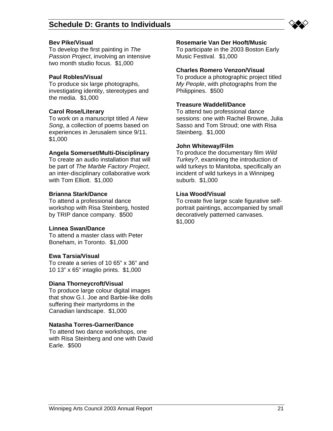

#### **Bev Pike/Visual**

To develop the first painting in *The Passion Project*, involving an intensive two month studio focus. \$1,000

#### **Paul Robles/Visual**

To produce six large photographs, investigating identity, stereotypes and the media. \$1,000

#### **Carol Rose/Literary**

To work on a manuscript titled *A New Song*, a collection of poems based on experiences in Jerusalem since 9/11. \$1,000

#### **Angela Somerset/Multi-Disciplinary**

To create an audio installation that will be part of *The Marble Factory Project*, an inter-disciplinary collaborative work with Tom Elliott. \$1,000

#### **Brianna Stark/Dance**

To attend a professional dance workshop with Risa Steinberg, hosted by TRIP dance company. \$500

#### **Linnea Swan/Dance**

To attend a master class with Peter Boneham, in Toronto. \$1,000

#### **Ewa Tarsia/Visual**

To create a series of 10 65" x 36" and 10 13" x 65" intaglio prints. \$1,000

#### **Diana Thorneycroft/Visual**

To produce large colour digital images that show G.I. Joe and Barbie-like dolls suffering their martyrdoms in the Canadian landscape. \$1,000

#### **Natasha Torres-Garner/Dance**

To attend two dance workshops, one with Risa Steinberg and one with David Earle. \$500

#### **Rosemarie Van Der Hooft/Music**

To participate in the 2003 Boston Early Music Festival. \$1,000

#### **Charles Romero Venzon/Visual**

To produce a photographic project titled *My People*, with photographs from the Philippines. \$500

#### **Treasure Waddell/Dance**

To attend two professional dance sessions: one with Rachel Browne, Julia Sasso and Tom Stroud; one with Risa Steinberg. \$1,000

#### **John Whiteway/Film**

To produce the documentary film *Wild Turkey?*, examining the introduction of wild turkeys to Manitoba, specifically an incident of wild turkeys in a Winnipeg suburb. \$1,000

#### **Lisa Wood/Visual**

To create five large scale figurative selfportrait paintings, accompanied by small decoratively patterned canvases. \$1,000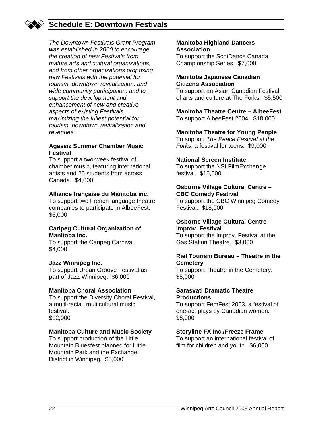# **Schedule E: Downtown Festivals**

*The Downtown Festivals Grant Program was established in 2000 to encourage the creation of new Festivals from mature arts and cultural organizations, and from other organizations proposing new Festivals with the potential for tourism, downtown revitalization, and wide community participation; and to support the development and enhancement of new and creative aspects of existing Festivals, maximizing the fullest potential for tourism, downtown revitalization and revenues.* 

#### **Agassiz Summer Chamber Music Festival**

To support a two-week festival of chamber music, featuring international artists and 25 students from across Canada. \$4,000

#### **Alliance française du Manitoba inc.**

To support two French language theatre companies to participate in AlbeeFest. \$5,000

#### **Caripeg Cultural Organization of Manitoba Inc.**

To support the Caripeg Carnival. \$4,000

#### **Jazz Winnipeg Inc.**

To support Urban Groove Festival as part of Jazz Winnipeg. \$6,000

#### **Manitoba Choral Association**

To support the Diversity Choral Festival, a multi-racial, multicultural music festival. \$12,000

#### **Manitoba Culture and Music Society**

To support production of the Little Mountain Bluesfest planned for Little Mountain Park and the Exchange District in Winnipeg. \$5,000

#### **Manitoba Highland Dancers Association**

To support the ScotDance Canada Championship Series. \$7,000

#### **Manitoba Japanese Canadian Citizens Association**

To support an Asian Canadian Festival of arts and culture at The Forks. \$5,500

#### **Manitoba Theatre Centre – AlbeeFest**

To support AlbeeFest 2004. \$18,000

#### **Manitoba Theatre for Young People**

To support *The Peace Festival at the Forks*, a festival for teens. \$9,000

#### **National Screen Institute**

To support the NSI FilmExchange festival. \$15,000

#### **Osborne Village Cultural Centre – CBC Comedy Festival**

To support the CBC Winnipeg Comedy Festival. \$18,000

#### **Osborne Village Cultural Centre – Improv. Festival**

To support the Improv. Festival at the Gas Station Theatre. \$3,000

#### **Riel Tourism Bureau – Theatre in the Cemetery**

To support Theatre in the Cemetery. \$5,000

#### **Sarasvati Dramatic Theatre Productions**

To support FemFest 2003, a festival of one-act plays by Canadian women. \$8,000

#### **Storyline FX Inc./Freeze Frame**

To support an international festival of film for children and youth. \$6,000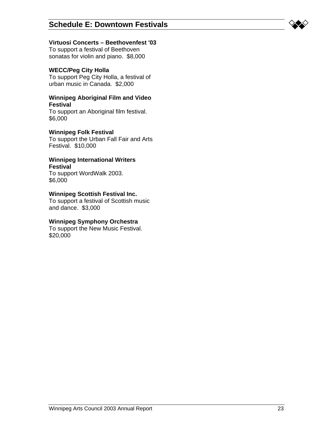#### **Virtuosi Concerts – Beethovenfest '03**

To support a festival of Beethoven sonatas for violin and piano. \$8,000

#### **WECC/Peg City Holla**

To support Peg City Holla, a festival of urban music in Canada. \$2,000

#### **Winnipeg Aboriginal Film and Video Festival**

To support an Aboriginal film festival. \$6,000

#### **Winnipeg Folk Festival**

To support the Urban Fall Fair and Arts Festival. \$10,000

#### **Winnipeg International Writers Festival**

To support WordWalk 2003. \$6,000

#### **Winnipeg Scottish Festival Inc.**

To support a festival of Scottish music and dance. \$3,000

#### **Winnipeg Symphony Orchestra**

To support the New Music Festival. \$20,000

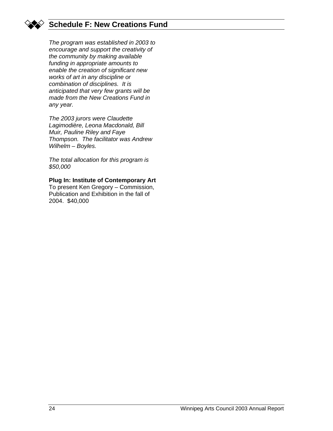

# **Schedule F: New Creations Fund**

*The program was established in 2003 to encourage and support the creativity of the community by making available funding in appropriate amounts to enable the creation of significant new works of art in any discipline or combination of disciplines. It is anticipated that very few grants will be made from the New Creations Fund in any year.* 

*The 2003 jurors were Claudette Lagimodière, Leona Macdonald, Bill Muir, Pauline Riley and Faye Thompson. The facilitator was Andrew Wilhelm – Boyles.* 

*The total allocation for this program is \$50,000* 

#### **Plug In: Institute of Contemporary Art**

To present Ken Gregory – Commission, Publication and Exhibition in the fall of 2004. \$40,000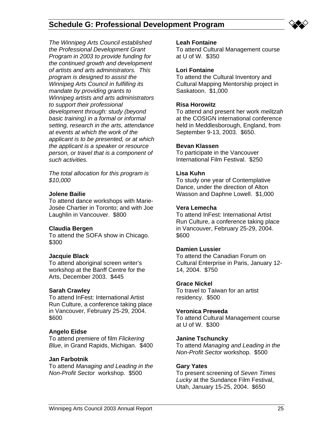**Schedule G: Professional Development Program** 



*The Winnipeg Arts Council established the Professional Development Grant Program in 2003 to provide funding for the continued growth and development of artists and arts administrators. This program is designed to assist the Winnipeg Arts Council in fulfilling its mandate by providing grants to Winnipeg artists and arts administrators to support their professional development through: study (beyond basic training) in a formal or informal setting, research in the arts, attendance at events at which the work of the applicant is to be presented, or at which the applicant is a speaker or resource person, or travel that is a component of such activities.* 

*The total allocation for this program is \$10,000* 

#### **Jolene Bailie**

To attend dance workshops with Marie-Josée Chartier in Toronto; and with Joe Laughlin in Vancouver. \$800

#### **Claudia Bergen**

To attend the SOFA show in Chicago. \$300

#### **Jacquie Black**

To attend aboriginal screen writer's workshop at the Banff Centre for the Arts, December 2003. \$445

#### **Sarah Crawley**

To attend InFest: International Artist Run Culture, a conference taking place in Vancouver, February 25-29, 2004. \$600

#### **Angelo Eidse**

To attend premiere of film *Flickering Blue*, in Grand Rapids, Michigan. \$400

#### **Jan Farbotnik**

To attend *Managing and Leading in the Non-Profit Sector* workshop. \$500

#### **Leah Fontaine**

To attend Cultural Management course at U of W. \$350

#### **Lori Fontaine**

To attend the Cultural Inventory and Cultural Mapping Mentorship project in Saskatoon. \$1,000

#### **Risa Horowitz**

To attend and present her work *melitzah*  at the COSIGN international conference held in Meddlesborough, England, from September 9-13, 2003. \$650.

#### **Bevan Klassen**

To participate in the Vancouver International Film Festival. \$250

#### **Lisa Kuhn**

To study one year of Contemplative Dance, under the direction of Alton Wasson and Daphne Lowell. \$1,000

#### **Vera Lemecha**

To attend InFest: International Artist Run Culture, a conference taking place in Vancouver, February 25-29, 2004. \$600

#### **Damien Lussier**

To attend the Canadian Forum on Cultural Enterprise in Paris, January 12- 14, 2004. \$750

#### **Grace Nickel**

To travel to Taiwan for an artist residency. \$500

#### **Veronica Preweda**

To attend Cultural Management course at U of W. \$300

#### **Janine Tschuncky**

To attend *Managing and Leading in the Non-Profit Sector* workshop. \$500

#### **Gary Yates**

To present screening of *Seven Times Lucky* at the Sundance Film Festival, Utah, January 15-25, 2004. \$650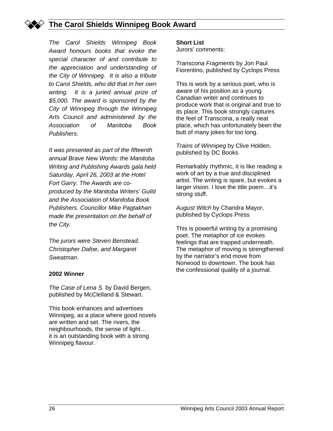

# **The Carol Shields Winnipeg Book Award**

*The Carol Shields Winnipeg Book Award honours books that evoke the special character of and contribute to the appreciation and understanding of the City of Winnipeg. It is also a tribute to Carol Shields, who did that in her own writing. It is a juried annual prize of \$5,000. The award is sponsored by the City of Winnipeg through the Winnipeg Arts Council and administered by the Association of Manitoba Book Publishers.* 

*It was presented as part of the fifteenth annual Brave New Words: the Manitoba Writing and Publishing Awards gala held Saturday, April 26, 2003 at the Hotel Fort Garry. The Awards are coproduced by the Manitoba Writers' Guild and the Association of Manitoba Book Publishers. Councillor Mike Pagtakhan made the presentation on the behalf of the City.* 

*The jurors were Steven Benstead, Christopher Dafoe, and Margaret Sweatman.* 

#### **2002 Winner**

*The Case of Lena S.* by David Bergen, published by McClelland & Stewart.

This book enhances and advertises Winnipeg, as a place where good novels are written and set. The rivers, the neighbourhoods, the sense of light… it is an outstanding book with a strong Winnipeg flavour.

#### **Short List**

Jurors' comments:

*Transcona Fragments* by Jon Paul Fiorentino, published by Cyclops Press

This is work by a serious poet, who is aware of his position as a young Canadian writer and continues to produce work that is original and true to its place. This book strongly captures the feel of Transcona, a really neat place, which has unfortunately been the butt of many jokes for too long.

*Trains of Winnipeg* by Clive Holden, published by DC Books

Remarkably rhythmic, it is like reading a work of art by a true and disciplined artist. The writing is spare, but evokes a larger vision. I love the title poem…it's strong stuff.

*August Witch* by Chandra Mayor, published by Cyclops Press

This is powerful writing by a promising poet. The metaphor of ice evokes feelings that are trapped underneath. The metaphor of moving is strengthened by the narrator's end move from Norwood to downtown. The book has the confessional quality of a journal.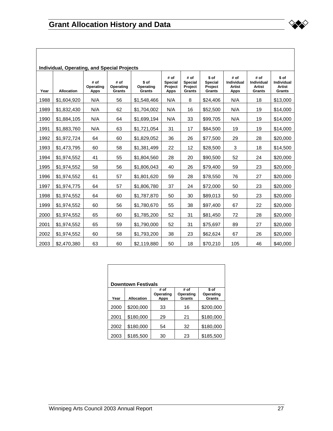|      | Individual, Operating, and Special Projects |                                  |                             |                              |                                           |                                             |                                       |                                                    |                                                      |                                         |
|------|---------------------------------------------|----------------------------------|-----------------------------|------------------------------|-------------------------------------------|---------------------------------------------|---------------------------------------|----------------------------------------------------|------------------------------------------------------|-----------------------------------------|
| Year | <b>Allocation</b>                           | # of<br>Operating<br><b>Apps</b> | # of<br>Operating<br>Grants | \$ of<br>Operating<br>Grants | # of<br>Special<br>Project<br><b>Apps</b> | # of<br><b>Special</b><br>Project<br>Grants | \$ of<br>Special<br>Project<br>Grants | # of<br>Individual<br><b>Artist</b><br><b>Apps</b> | # of<br><b>Individual</b><br><b>Artist</b><br>Grants | \$ of<br>Individual<br>Artist<br>Grants |
| 1988 | \$1,604,920                                 | N/A                              | 56                          | \$1,548,466                  | N/A                                       | 8                                           | \$24,406                              | N/A                                                | 18                                                   | \$13,000                                |
| 1989 | \$1,832,430                                 | N/A                              | 62                          | \$1,704,002                  | N/A                                       | 16                                          | \$52,500                              | N/A                                                | 19                                                   | \$14,000                                |
| 1990 | \$1,884,105                                 | N/A                              | 64                          | \$1,699,194                  | N/A                                       | 33                                          | \$99,705                              | N/A                                                | 19                                                   | \$14,000                                |
| 1991 | \$1,883,760                                 | N/A                              | 63                          | \$1,721,054                  | 31                                        | 17                                          | \$84,500                              | 19                                                 | 19                                                   | \$14,000                                |
| 1992 | \$1,972,724                                 | 64                               | 60                          | \$1,829,052                  | 36                                        | 26                                          | \$77,500                              | 29                                                 | 28                                                   | \$20,000                                |
| 1993 | \$1,473,795                                 | 60                               | 58                          | \$1,381,499                  | 22                                        | 12                                          | \$28,500                              | 3                                                  | 18                                                   | \$14,500                                |
| 1994 | \$1,974,552                                 | 41                               | 55                          | \$1,804,560                  | 28                                        | 20                                          | \$90,500                              | 52                                                 | 24                                                   | \$20,000                                |
| 1995 | \$1,974,552                                 | 58                               | 56                          | \$1,806,043                  | 40                                        | 26                                          | \$79,400                              | 59                                                 | 23                                                   | \$20,000                                |
| 1996 | \$1,974,552                                 | 61                               | 57                          | \$1,801,620                  | 59                                        | 28                                          | \$78,550                              | 76                                                 | 27                                                   | \$20,000                                |
| 1997 | \$1,974,775                                 | 64                               | 57                          | \$1,806,780                  | 37                                        | 24                                          | \$72,000                              | 50                                                 | 23                                                   | \$20,000                                |
| 1998 | \$1,974,552                                 | 64                               | 60                          | \$1,787,870                  | 50                                        | 30                                          | \$89,013                              | 50                                                 | 23                                                   | \$20,000                                |
| 1999 | \$1,974,552                                 | 60                               | 56                          | \$1,780,670                  | 55                                        | 38                                          | \$97,400                              | 67                                                 | 22                                                   | \$20,000                                |
| 2000 | \$1,974,552                                 | 65                               | 60                          | \$1,785,200                  | 52                                        | 31                                          | \$81,450                              | 72                                                 | 28                                                   | \$20,000                                |
| 2001 | \$1,974,552                                 | 65                               | 59                          | \$1,790,000                  | 52                                        | 31                                          | \$75,697                              | 89                                                 | 27                                                   | \$20,000                                |
| 2002 | \$1,974,552                                 | 60                               | 58                          | \$1,793,200                  | 38                                        | 23                                          | \$62,624                              | 67                                                 | 26                                                   | \$20,000                                |
| 2003 | \$2,470,380                                 | 63                               | 60                          | \$2,119,880                  | 50                                        | 18                                          | \$70,210                              | 105                                                | 46                                                   | \$40,000                                |

| <b>Downtown Festivals</b> |            |                           |                             |                              |  |  |  |  |
|---------------------------|------------|---------------------------|-----------------------------|------------------------------|--|--|--|--|
| Year                      | Allocation | # of<br>Operating<br>Apps | # of<br>Operating<br>Grants | \$ of<br>Operating<br>Grants |  |  |  |  |
| 2000                      | \$200,000  | 33                        | 16                          | \$200,000                    |  |  |  |  |
| 2001                      | \$180,000  | 29                        | 21                          | \$180,000                    |  |  |  |  |
| 2002                      | \$180,000  | 54                        | 32                          | \$180,000                    |  |  |  |  |
| 2003                      | \$185,500  | 30                        | 23                          | \$185,500                    |  |  |  |  |

⋙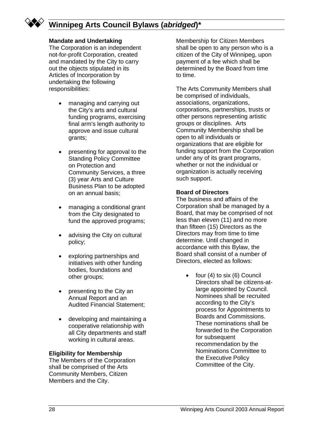

# **Winnipeg Arts Council Bylaws (***abridged***)\***

#### **Mandate and Undertaking**

The Corporation is an independent not-for-profit Corporation, created and mandated by the City to carry out the objects stipulated in its Articles of Incorporation by undertaking the following responsibilities:

- managing and carrying out the City's arts and cultural funding programs, exercising final arm's length authority to approve and issue cultural grants;
- presenting for approval to the Standing Policy Committee on Protection and Community Services, a three (3) year Arts and Culture Business Plan to be adopted on an annual basis;
- managing a conditional grant from the City designated to fund the approved programs;
- advising the City on cultural policy;
- exploring partnerships and initiatives with other funding bodies, foundations and other groups;
- presenting to the City an Annual Report and an Audited Financial Statement;
- developing and maintaining a cooperative relationship with all City departments and staff working in cultural areas.

#### **Eligibility for Membership**

The Members of the Corporation shall be comprised of the Arts Community Members, Citizen Members and the City.

Membership for Citizen Members shall be open to any person who is a citizen of the City of Winnipeg, upon payment of a fee which shall be determined by the Board from time to time.

The Arts Community Members shall be comprised of individuals, associations, organizations, corporations, partnerships, trusts or other persons representing artistic groups or disciplines. Arts Community Membership shall be open to all individuals or organizations that are eligible for funding support from the Corporation under any of its grant programs, whether or not the individual or organization is actually receiving such support.

#### **Board of Directors**

The business and affairs of the Corporation shall be managed by a Board, that may be comprised of not less than eleven (11) and no more than fifteen (15) Directors as the Directors may from time to time determine. Until changed in accordance with this Bylaw, the Board shall consist of a number of Directors, elected as follows:

> • four (4) to six (6) Council Directors shall be citizens-atlarge appointed by Council. Nominees shall be recruited according to the City's process for Appointments to Boards and Commissions. These nominations shall be forwarded to the Corporation for subsequent recommendation by the Nominations Committee to the Executive Policy Committee of the City.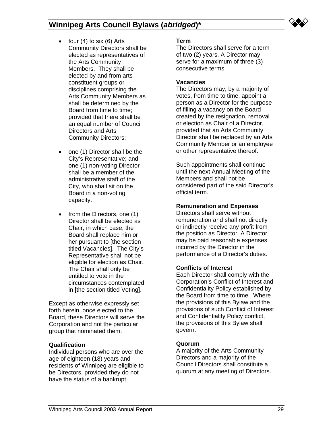

- four  $(4)$  to six  $(6)$  Arts Community Directors shall be elected as representatives of the Arts Community Members. They shall be elected by and from arts constituent groups or disciplines comprising the Arts Community Members as shall be determined by the Board from time to time; provided that there shall be an equal number of Council Directors and Arts Community Directors;
- one (1) Director shall be the City's Representative; and one (1) non-voting Director shall be a member of the administrative staff of the City, who shall sit on the Board in a non-voting capacity.
- from the Directors, one (1) Director shall be elected as Chair, in which case, the Board shall replace him or her pursuant to [the section titled Vacancies]. The City's Representative shall not be eligible for election as Chair. The Chair shall only be entitled to vote in the circumstances contemplated in [the section titled Voting].

Except as otherwise expressly set forth herein, once elected to the Board, these Directors will serve the Corporation and not the particular group that nominated them.

#### **Qualification**

Individual persons who are over the age of eighteen (18) years and residents of Winnipeg are eligible to be Directors, provided they do not have the status of a bankrupt.

#### **Term**

The Directors shall serve for a term of two (2) years. A Director may serve for a maximum of three (3) consecutive terms.

#### **Vacancies**

The Directors may, by a majority of votes, from time to time, appoint a person as a Director for the purpose of filling a vacancy on the Board created by the resignation, removal or election as Chair of a Director, provided that an Arts Community Director shall be replaced by an Arts Community Member or an employee or other representative thereof.

Such appointments shall continue until the next Annual Meeting of the Members and shall not be considered part of the said Director's official term.

#### **Remuneration and Expenses**

Directors shall serve without remuneration and shall not directly or indirectly receive any profit from the position as Director. A Director may be paid reasonable expenses incurred by the Director in the performance of a Director's duties.

#### **Conflicts of Interest**

Each Director shall comply with the Corporation's Conflict of Interest and Confidentiality Policy established by the Board from time to time. Where the provisions of this Bylaw and the provisions of such Conflict of Interest and Confidentiality Policy conflict, the provisions of this Bylaw shall govern.

#### **Quorum**

A majority of the Arts Community Directors and a majority of the Council Directors shall constitute a quorum at any meeting of Directors.